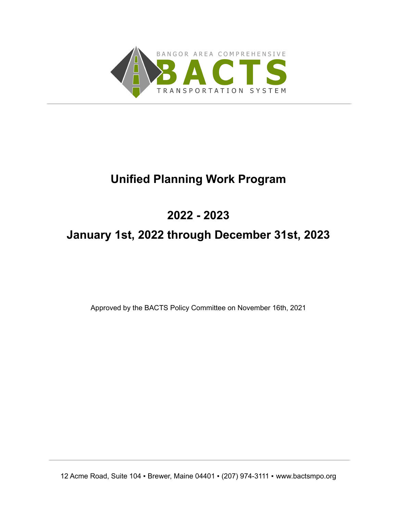

# **Unified Planning Work Program**

## **2022 - 2023**

## **January 1st, 2022 through December 31st, 2023**

Approved by the BACTS Policy Committee on November 16th, 2021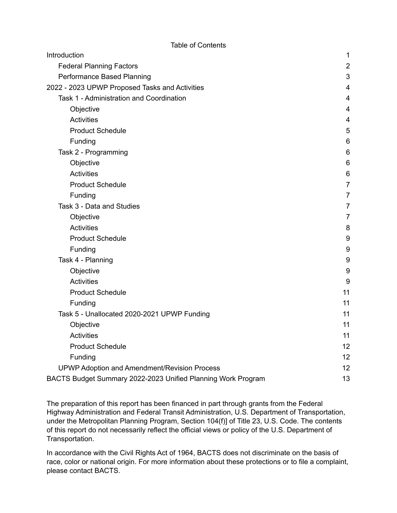| Introduction                                                 | $\mathbf 1$             |
|--------------------------------------------------------------|-------------------------|
| <b>Federal Planning Factors</b>                              | $\overline{2}$          |
| Performance Based Planning                                   | 3                       |
| 2022 - 2023 UPWP Proposed Tasks and Activities               | $\overline{4}$          |
| Task 1 - Administration and Coordination                     | $\overline{4}$          |
| Objective                                                    | 4                       |
| <b>Activities</b>                                            | $\overline{\mathbf{4}}$ |
| <b>Product Schedule</b>                                      | $\overline{5}$          |
| Funding                                                      | $6\,$                   |
| Task 2 - Programming                                         | 6                       |
| Objective                                                    | 6                       |
| <b>Activities</b>                                            | 6                       |
| <b>Product Schedule</b>                                      | $\overline{7}$          |
| Funding                                                      | $\overline{7}$          |
| Task 3 - Data and Studies                                    | $\overline{7}$          |
| Objective                                                    | $\overline{7}$          |
| <b>Activities</b>                                            | 8                       |
| <b>Product Schedule</b>                                      | $9\,$                   |
| Funding                                                      | 9                       |
| Task 4 - Planning                                            | $\boldsymbol{9}$        |
| Objective                                                    | $\boldsymbol{9}$        |
| Activities                                                   | $\boldsymbol{9}$        |
| <b>Product Schedule</b>                                      | 11                      |
| Funding                                                      | 11                      |
| Task 5 - Unallocated 2020-2021 UPWP Funding                  | 11                      |
| Objective                                                    | 11                      |
| <b>Activities</b>                                            | 11                      |
| <b>Product Schedule</b>                                      | 12                      |
| Funding                                                      | 12                      |
| UPWP Adoption and Amendment/Revision Process                 | 12                      |
| BACTS Budget Summary 2022-2023 Unified Planning Work Program | 13                      |

The preparation of this report has been financed in part through grants from the Federal Highway Administration and Federal Transit Administration, U.S. Department of Transportation, under the Metropolitan Planning Program, Section 104(f)] of Title 23, U.S. Code. The contents of this report do not necessarily reflect the official views or policy of the U.S. Department of Transportation.

In accordance with the Civil Rights Act of 1964, BACTS does not discriminate on the basis of race, color or national origin. For more information about these protections or to file a complaint, please contact BACTS.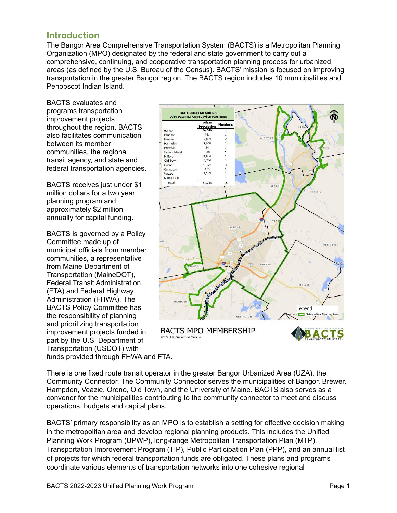## <span id="page-2-0"></span>**Introduction**

The Bangor Area Comprehensive Transportation System (BACTS) is a Metropolitan Planning Organization (MPO) designated by the federal and state government to carry out a comprehensive, continuing, and cooperative transportation planning process for urbanized areas (as defined by the U.S. Bureau of the Census). BACTS' mission is focused on improving transportation in the greater Bangor region. The BACTS region includes 10 municipalities and Penobscot Indian Island.

BACTS evaluates and programs transportation improvement projects throughout the region. BACTS also facilitates communication between its member communities, the regional transit agency, and state and federal transportation agencies.

BACTS receives just under \$1 million dollars for a two year planning program and approximately \$2 million annually for capital funding.

BACTS is governed by a Policy Committee made up of municipal officials from member communities, a representative from Maine Department of Transportation (MaineDOT), Federal Transit Administration (FTA) and Federal Highway Administration (FHWA). The BACTS Policy Committee has the responsibility of planning and prioritizing transportation improvement projects funded in part by the U.S. Department of Transportation (USDOT) with funds provided through FHWA and FTA.



There is one fixed route transit operator in the greater Bangor Urbanized Area (UZA), the Community Connector. The Community Connector serves the municipalities of Bangor, Brewer, Hampden, Veazie, Orono, Old Town, and the University of Maine. BACTS also serves as a convenor for the municipalities contributing to the community connector to meet and discuss operations, budgets and capital plans.

BACTS' primary responsibility as an MPO is to establish a setting for effective decision making in the metropolitan area and develop regional planning products. This includes the Unified Planning Work Program (UPWP), long-range Metropolitan Transportation Plan (MTP), Transportation Improvement Program (TIP), Public Participation Plan (PPP), and an annual list of projects for which federal transportation funds are obligated. These plans and programs coordinate various elements of transportation networks into one cohesive regional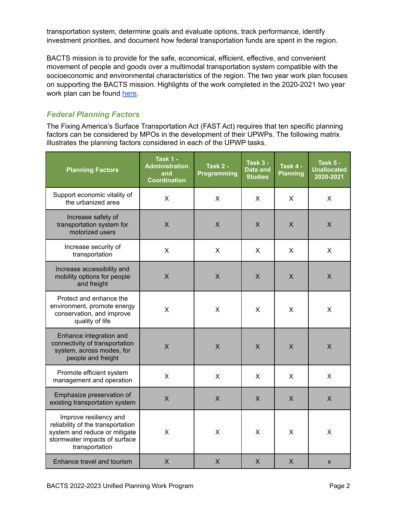transportation system, determine goals and evaluate options, track performance, identify investment priorities, and document how federal transportation funds are spent in the region.

BACTS mission is to provide for the safe, economical, efficient, effective, and convenient movement of people and goods over a multimodal transportation system compatible with the socioeconomic and environmental characteristics of the region. The two year work plan focuses on supporting the BACTS mission. Highlights of the work completed in the 2020-2021 two year work plan can be found [here.](https://bactsmpo.org/wp-content/uploads/2021/09/2020-2021-Unified-Planning-Work-Program-Report.pdf)

## <span id="page-3-0"></span>*Federal Planning Factors*

The Fixing America's Surface Transportation Act (FAST Act) requires that ten specific planning factors can be considered by MPOs in the development of their UPWPs. The following matrix illustrates the planning factors considered in each of the UPWP tasks.

| <b>Planning Factors</b>                                                                                                                         | Task 1 -<br><b>Administration</b><br>and<br><b>Coordination</b> | Task 2 -<br><b>Programming</b> | <b>Task 3 -</b><br>Data and<br><b>Studies</b> | Task 4 -<br><b>Planning</b> | <b>Task 5 -</b><br><b>Unallocated</b><br>2020-2021 |
|-------------------------------------------------------------------------------------------------------------------------------------------------|-----------------------------------------------------------------|--------------------------------|-----------------------------------------------|-----------------------------|----------------------------------------------------|
| Support economic vitality of<br>the urbanized area                                                                                              | X                                                               | X                              | X                                             | X                           | X                                                  |
| Increase safety of<br>transportation system for<br>motorized users                                                                              | $\mathsf{X}$                                                    | $\times$                       | X                                             | $\mathsf{X}$                | $\mathsf{X}$                                       |
| Increase security of<br>transportation                                                                                                          | X                                                               | X                              | X                                             | X                           | X                                                  |
| Increase accessibility and<br>mobility options for people<br>and freight                                                                        | X                                                               | $\sf X$                        | X                                             | X                           | $\sf X$                                            |
| Protect and enhance the<br>environment, promote energy<br>conservation, and improve<br>quality of life                                          | X                                                               | X                              | X                                             | X                           | X                                                  |
| Enhance integration and<br>connectivity of transportation<br>system, across modes, for<br>people and freight                                    | $\mathsf{X}$                                                    | $\times$                       | X                                             | X                           | $\sf X$                                            |
| Promote efficient system<br>management and operation                                                                                            | $\mathsf{X}$                                                    | $\mathsf{X}$                   | X                                             | X                           | X                                                  |
| Emphasize preservation of<br>existing transportation system                                                                                     | X                                                               | $\mathsf{X}$                   | X                                             | X                           | X                                                  |
| Improve resiliency and<br>reliability of the transportation<br>system and reduce or mitigate<br>stormwater impacts of surface<br>transportation | X                                                               | X                              | X                                             | X                           | X                                                  |
| Enhance travel and tourism                                                                                                                      | $\pmb{\mathsf{X}}$                                              | X                              | X                                             | X                           | X                                                  |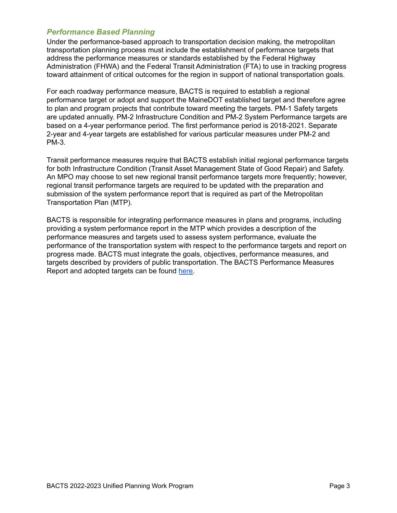#### <span id="page-4-0"></span>*Performance Based Planning*

Under the performance-based approach to transportation decision making, the metropolitan transportation planning process must include the establishment of performance targets that address the performance measures or standards established by the Federal Highway Administration (FHWA) and the Federal Transit Administration (FTA) to use in tracking progress toward attainment of critical outcomes for the region in support of national transportation goals.

For each roadway performance measure, BACTS is required to establish a regional performance target or adopt and support the MaineDOT established target and therefore agree to plan and program projects that contribute toward meeting the targets. PM-1 Safety targets are updated annually. PM-2 Infrastructure Condition and PM-2 System Performance targets are based on a 4-year performance period. The first performance period is 2018-2021. Separate 2-year and 4-year targets are established for various particular measures under PM-2 and PM-3.

Transit performance measures require that BACTS establish initial regional performance targets for both Infrastructure Condition (Transit Asset Management State of Good Repair) and Safety. An MPO may choose to set new regional transit performance targets more frequently; however, regional transit performance targets are required to be updated with the preparation and submission of the system performance report that is required as part of the Metropolitan Transportation Plan (MTP).

BACTS is responsible for integrating performance measures in plans and programs, including providing a system performance report in the MTP which provides a description of the performance measures and targets used to assess system performance, evaluate the performance of the transportation system with respect to the performance targets and report on progress made. BACTS must integrate the goals, objectives, performance measures, and targets described by providers of public transportation. The BACTS Performance Measures Report and adopted targets can be found [here.](https://bactsmpo.org/wp-content/uploads/2021/09/Performance-Measures-Report-1.pdf)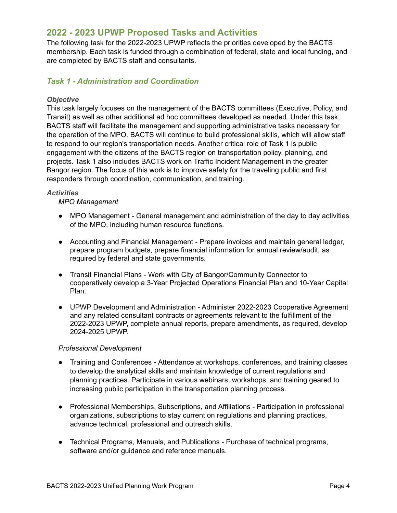## <span id="page-5-0"></span>**2022 - 2023 UPWP Proposed Tasks and Activities**

The following task for the 2022-2023 UPWP reflects the priorities developed by the BACTS membership. Each task is funded through a combination of federal, state and local funding, and are completed by BACTS staff and consultants.

#### <span id="page-5-1"></span>*Task 1 - Administration and Coordination*

#### <span id="page-5-2"></span>*Objective*

This task largely focuses on the management of the BACTS committees (Executive, Policy, and Transit) as well as other additional ad hoc committees developed as needed. Under this task, BACTS staff will facilitate the management and supporting administrative tasks necessary for the operation of the MPO. BACTS will continue to build professional skills, which will allow staff to respond to our region's transportation needs. Another critical role of Task 1 is public engagement with the citizens of the BACTS region on transportation policy, planning, and projects. Task 1 also includes BACTS work on Traffic Incident Management in the greater Bangor region. The focus of this work is to improve safety for the traveling public and first responders through coordination, communication, and training.

#### <span id="page-5-3"></span>*Activities*

#### *MPO Management*

- MPO Management General management and administration of the day to day activities of the MPO, including human resource functions.
- Accounting and Financial Management Prepare invoices and maintain general ledger, prepare program budgets, prepare financial information for annual review/audit, as required by federal and state governments.
- Transit Financial Plans Work with City of Bangor/Community Connector to cooperatively develop a 3-Year Projected Operations Financial Plan and 10-Year Capital Plan.
- UPWP Development and Administration Administer 2022-2023 Cooperative Agreement and any related consultant contracts or agreements relevant to the fulfillment of the 2022-2023 UPWP, complete annual reports, prepare amendments, as required, develop 2024-2025 UPWP.

#### *Professional Development*

- Training and Conferences **-** Attendance at workshops, conferences, and training classes to develop the analytical skills and maintain knowledge of current regulations and planning practices. Participate in various webinars, workshops, and training geared to increasing public participation in the transportation planning process.
- Professional Memberships, Subscriptions, and Affiliations Participation in professional organizations, subscriptions to stay current on regulations and planning practices, advance technical, professional and outreach skills.
- Technical Programs, Manuals, and Publications Purchase of technical programs, software and/or guidance and reference manuals.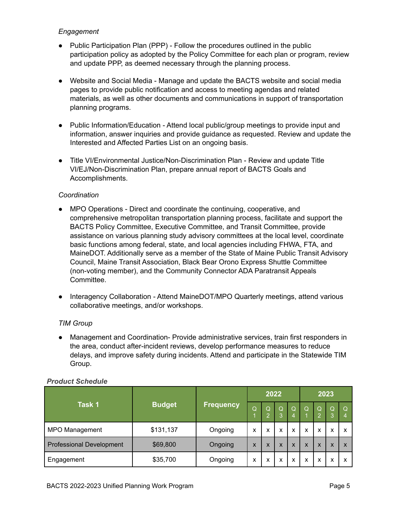#### *Engagement*

- Public Participation Plan (PPP) Follow the procedures outlined in the public participation policy as adopted by the Policy Committee for each plan or program, review and update PPP, as deemed necessary through the planning process.
- Website and Social Media Manage and update the BACTS website and social media pages to provide public notification and access to meeting agendas and related materials, as well as other documents and communications in support of transportation planning programs.
- Public Information/Education Attend local public/group meetings to provide input and information, answer inquiries and provide guidance as requested. Review and update the Interested and Affected Parties List on an ongoing basis.
- Title VI/Environmental Justice/Non-Discrimination Plan Review and update Title VI/EJ/Non-Discrimination Plan, prepare annual report of BACTS Goals and Accomplishments.

#### *Coordination*

- MPO Operations Direct and coordinate the continuing, cooperative, and comprehensive metropolitan transportation planning process, facilitate and support the BACTS Policy Committee, Executive Committee, and Transit Committee, provide assistance on various planning study advisory committees at the local level, coordinate basic functions among federal, state, and local agencies including FHWA, FTA, and MaineDOT. Additionally serve as a member of the State of Maine Public Transit Advisory Council, Maine Transit Association, Black Bear Orono Express Shuttle Committee (non-voting member), and the Community Connector ADA Paratransit Appeals Committee.
- Interagency Collaboration Attend MaineDOT/MPO Quarterly meetings, attend various collaborative meetings, and/or workshops.

#### *TIM Group*

● Management and Coordination- Provide administrative services, train first responders in the area, conduct after-incident reviews, develop performance measures to reduce delays, and improve safety during incidents. Attend and participate in the Statewide TIM Group.

| Task 1                          | <b>Budget</b><br><b>Frequency</b> |         | 2022 |          |                   | 2023          |   |        |        |                           |
|---------------------------------|-----------------------------------|---------|------|----------|-------------------|---------------|---|--------|--------|---------------------------|
|                                 |                                   |         | Q    | Q<br>- 2 | Q<br>3            | $\Omega$<br>4 | Q | Q<br>o | Q<br>3 | Q<br>4                    |
| MPO Management                  | \$131,137                         | Ongoing | x    | x        | $\checkmark$<br>ㅅ | x             | X | X      | x      | $\boldsymbol{\mathsf{x}}$ |
| <b>Professional Development</b> | \$69,800                          | Ongoing | X    | X        | X                 | X             | X | X      | X      | $\boldsymbol{\mathsf{x}}$ |
| Engagement                      | \$35,700                          | Ongoing | х    | x        | x                 | х             | x | х      | x      | X                         |

#### <span id="page-6-0"></span>*Product Schedule*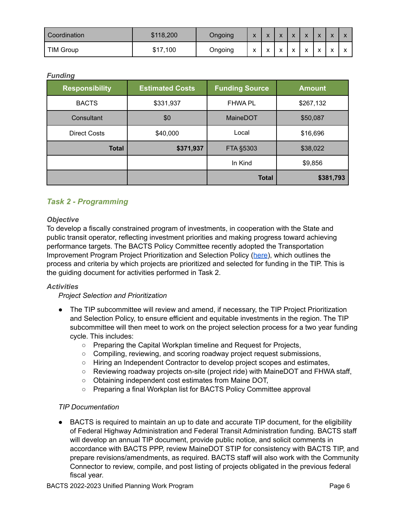| l Coordination   | \$118,200 | Ongoing | $\mathbf{v}$<br>↗ | $\mathbf{v}$<br>. . | $\overline{\mathbf{v}}$<br>$\boldsymbol{\mathcal{L}}$ | $\overline{\mathbf{v}}$<br>. .        | $\overline{\mathbf{v}}$ |         |  |
|------------------|-----------|---------|-------------------|---------------------|-------------------------------------------------------|---------------------------------------|-------------------------|---------|--|
| <b>TIM Group</b> | \$17,100  | Ongoing | $\lambda$         | $\lambda$           | $\overline{\phantom{a}}$<br>́                         | $\overline{\phantom{a}}$<br>$\lambda$ | $\lambda$               | $\cdot$ |  |

#### <span id="page-7-0"></span>*Funding*

| ັ<br><b>Responsibility</b> | <b>Estimated Costs</b> | <b>Funding Source</b> | <b>Amount</b> |
|----------------------------|------------------------|-----------------------|---------------|
| <b>BACTS</b>               | \$331,937              | <b>FHWA PL</b>        | \$267,132     |
| Consultant                 | \$0                    | MaineDOT              | \$50,087      |
| <b>Direct Costs</b>        | \$40,000               | Local                 | \$16,696      |
| <b>Total</b>               | \$371,937              | FTA §5303             | \$38,022      |
|                            |                        | In Kind               | \$9,856       |
|                            |                        | <b>Total</b>          | \$381,793     |

## <span id="page-7-1"></span>*Task 2 - Programming*

#### <span id="page-7-2"></span>*Objective*

To develop a fiscally constrained program of investments, in cooperation with the State and public transit operator, reflecting investment priorities and making progress toward achieving performance targets. The BACTS Policy Committee recently adopted the Transportation Improvement Program Project Prioritization and Selection Policy ([here\)](https://bactsmpo.org/wp-content/uploads/2021/09/BACTS-TIP-Project-Prioritization-and-Selection-Process-1.pdf), which outlines the process and criteria by which projects are prioritized and selected for funding in the TIP. This is the guiding document for activities performed in Task 2.

#### <span id="page-7-3"></span>*Activities*

#### *Project Selection and Prioritization*

- The TIP subcommittee will review and amend, if necessary, the TIP Project Prioritization and Selection Policy, to ensure efficient and equitable investments in the region. The TIP subcommittee will then meet to work on the project selection process for a two year funding cycle. This includes:
	- Preparing the Capital Workplan timeline and Request for Projects,
	- Compiling, reviewing, and scoring roadway project request submissions,
	- Hiring an Independent Contractor to develop project scopes and estimates,
	- Reviewing roadway projects on-site (project ride) with MaineDOT and FHWA staff,
	- Obtaining independent cost estimates from Maine DOT,
	- Preparing a final Workplan list for BACTS Policy Committee approval

#### *TIP Documentation*

BACTS is required to maintain an up to date and accurate TIP document, for the eligibility of Federal Highway Administration and Federal Transit Administration funding. BACTS staff will develop an annual TIP document, provide public notice, and solicit comments in accordance with BACTS PPP, review MaineDOT STIP for consistency with BACTS TIP, and prepare revisions/amendments, as required. BACTS staff will also work with the Community Connector to review, compile, and post listing of projects obligated in the previous federal fiscal year.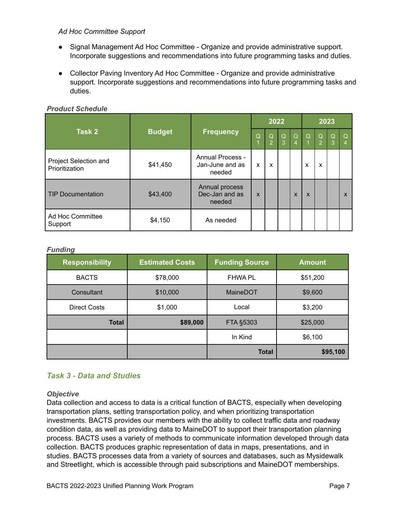#### *Ad Hoc Committee Support*

- Signal Management Ad Hoc Committee Organize and provide administrative support. Incorporate suggestions and recommendations into future programming tasks and duties.
- Collector Paving Inventory Ad Hoc Committee Organize and provide administrative support. Incorporate suggestions and recommendations into future programming tasks and duties.

<span id="page-8-0"></span>

| <b>Product Schedule</b> |
|-------------------------|
|                         |

|                                         |               |                                                      |              | 2022           |               |          | 2023                      |                             |               |               |
|-----------------------------------------|---------------|------------------------------------------------------|--------------|----------------|---------------|----------|---------------------------|-----------------------------|---------------|---------------|
| Task 2                                  | <b>Budget</b> | <b>Frequency</b>                                     |              | $\Omega$<br>o. | $\Omega$<br>3 | $\Omega$ | $\Omega$                  | $\Omega$<br>$\vert 2 \vert$ | $\Omega$<br>3 | $\Omega$<br>4 |
| Project Selection and<br>Prioritization | \$41,450      | <b>Annual Process -</b><br>Jan-June and as<br>needed | X            | X              |               |          | X                         | X                           |               |               |
| TIP Documentation                       | \$43,400      | Annual process<br>Dec-Jan and as<br>needed           | $\mathsf{x}$ |                |               | X        | $\boldsymbol{\mathsf{x}}$ |                             |               | X             |
| Ad Hoc Committee<br>Support             | \$4,150       | As needed                                            |              |                |               |          |                           |                             |               |               |

#### <span id="page-8-1"></span>*Funding*

| <b>Responsibility</b> | <b>Estimated Costs</b> | <b>Funding Source</b> | <b>Amount</b> |
|-----------------------|------------------------|-----------------------|---------------|
| <b>BACTS</b>          | \$78,000               | <b>FHWA PL</b>        | \$51,200      |
| Consultant            | \$10,000               | MaineDOT              | \$9,600       |
| <b>Direct Costs</b>   | \$1,000                | Local                 | \$3,200       |
| <b>Total</b>          | \$89,000               | FTA §5303             | \$25,000      |
|                       |                        | In Kind               | \$6,100       |
|                       |                        | <b>Total</b>          | \$95,100      |

## <span id="page-8-2"></span>*Task 3 - Data and Studies*

#### <span id="page-8-3"></span>*Objective*

Data collection and access to data is a critical function of BACTS, especially when developing transportation plans, setting transportation policy, and when prioritizing transportation investments. BACTS provides our members with the ability to collect traffic data and roadway condition data, as well as providing data to MaineDOT to support their transportation planning process. BACTS uses a variety of methods to communicate information developed through data collection. BACTS produces graphic representation of data in maps, presentations, and in studies. BACTS processes data from a variety of sources and databases, such as Mysidewalk and Streetlight, which is accessible through paid subscriptions and MaineDOT memberships.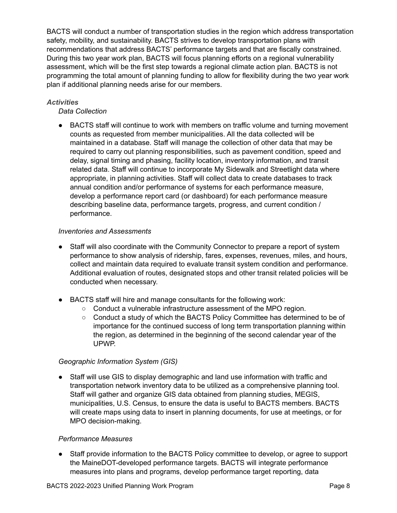BACTS will conduct a number of transportation studies in the region which address transportation safety, mobility, and sustainability. BACTS strives to develop transportation plans with recommendations that address BACTS' performance targets and that are fiscally constrained. During this two year work plan, BACTS will focus planning efforts on a regional vulnerability assessment, which will be the first step towards a regional climate action plan. BACTS is not programming the total amount of planning funding to allow for flexibility during the two year work plan if additional planning needs arise for our members.

#### <span id="page-9-0"></span>*Activities*

#### *Data Collection*

● BACTS staff will continue to work with members on traffic volume and turning movement counts as requested from member municipalities. All the data collected will be maintained in a database. Staff will manage the collection of other data that may be required to carry out planning responsibilities, such as pavement condition, speed and delay, signal timing and phasing, facility location, inventory information, and transit related data. Staff will continue to incorporate My Sidewalk and Streetlight data where appropriate, in planning activities. Staff will collect data to create databases to track annual condition and/or performance of systems for each performance measure, develop a performance report card (or dashboard) for each performance measure describing baseline data, performance targets, progress, and current condition / performance.

#### *Inventories and Assessments*

- Staff will also coordinate with the Community Connector to prepare a report of system performance to show analysis of ridership, fares, expenses, revenues, miles, and hours, collect and maintain data required to evaluate transit system condition and performance. Additional evaluation of routes, designated stops and other transit related policies will be conducted when necessary.
- BACTS staff will hire and manage consultants for the following work:
	- Conduct a vulnerable infrastructure assessment of the MPO region.
	- Conduct a study of which the BACTS Policy Committee has determined to be of importance for the continued success of long term transportation planning within the region, as determined in the beginning of the second calendar year of the UPWP.

#### *Geographic Information System (GIS)*

● Staff will use GIS to display demographic and land use information with traffic and transportation network inventory data to be utilized as a comprehensive planning tool. Staff will gather and organize GIS data obtained from planning studies, MEGIS, municipalities, U.S. Census, to ensure the data is useful to BACTS members. BACTS will create maps using data to insert in planning documents, for use at meetings, or for MPO decision-making.

#### *Performance Measures*

● Staff provide information to the BACTS Policy committee to develop, or agree to support the MaineDOT-developed performance targets. BACTS will integrate performance measures into plans and programs, develop performance target reporting, data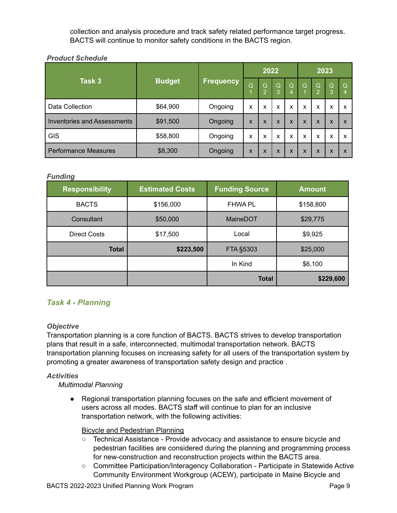collection and analysis procedure and track safety related performance target progress. BACTS will continue to monitor safety conditions in the BACTS region.

#### <span id="page-10-0"></span>*Product Schedule*

|                                    | <b>Budget</b> |                  |   | 2022              |                           |                     | 2023         |                                  |               |                           |
|------------------------------------|---------------|------------------|---|-------------------|---------------------------|---------------------|--------------|----------------------------------|---------------|---------------------------|
| Task 3                             |               | <b>Frequency</b> | Q | Q<br>$\mathbf{2}$ | $\mathsf Q$<br>3          | $\overline{Q}$<br>4 | $\Omega$     | $\overline{Q}$<br>$\overline{2}$ | $\Omega$<br>3 | Q<br>4                    |
| Data Collection                    | \$64,900      | Ongoing          | X | x                 | X                         | X                   | x            | X                                | x             | x                         |
| <b>Inventories and Assessments</b> | \$91,500      | Ongoing          | X | $\mathsf{x}$      | $\boldsymbol{\mathsf{x}}$ | $\mathsf{x}$        | $\mathsf{x}$ | $\boldsymbol{\mathsf{x}}$        | $\mathsf{x}$  | $\boldsymbol{\mathsf{x}}$ |
| GIS                                | \$58,800      | Ongoing          | x | x                 | x                         | X                   | X            | X                                | x             | X                         |
| <b>Performance Measures</b>        | \$8,300       | Ongoing          | X | X                 | X                         | $\mathsf{x}$        | $\mathsf{x}$ | X                                | $\mathsf{x}$  | X                         |

#### <span id="page-10-1"></span>*Funding*

| <b>Responsibility</b> | <b>Estimated Costs</b> | <b>Funding Source</b> | <b>Amount</b> |
|-----------------------|------------------------|-----------------------|---------------|
| <b>BACTS</b>          | \$156,000              | <b>FHWA PL</b>        | \$158,800     |
| Consultant            | \$50,000               | MaineDOT              | \$29,775      |
| <b>Direct Costs</b>   | \$17,500               | Local                 | \$9,925       |
| <b>Total</b>          | \$223,500              | FTA §5303             | \$25,000      |
|                       |                        | In Kind               | \$6,100       |
|                       |                        | <b>Total</b>          | \$229,600     |

## <span id="page-10-2"></span>*Task 4 - Planning*

#### <span id="page-10-3"></span>*Objective*

Transportation planning is a core function of BACTS. BACTS strives to develop transportation plans that result in a safe, interconnected, multimodal transportation network. BACTS transportation planning focuses on increasing safety for all users of the transportation system by promoting a greater awareness of transportation safety design and practice .

#### <span id="page-10-4"></span>*Activities*

#### *Multimodal Planning*

● Regional transportation planning focuses on the safe and efficient movement of users across all modes. BACTS staff will continue to plan for an inclusive transportation network, with the following activities:

#### Bicycle and Pedestrian Planning

- Technical Assistance Provide advocacy and assistance to ensure bicycle and pedestrian facilities are considered during the planning and programming process for new-construction and reconstruction projects within the BACTS area.
- Committee Participation/Interagency Collaboration Participate in Statewide Active Community Environment Workgroup (ACEW), participate in Maine Bicycle and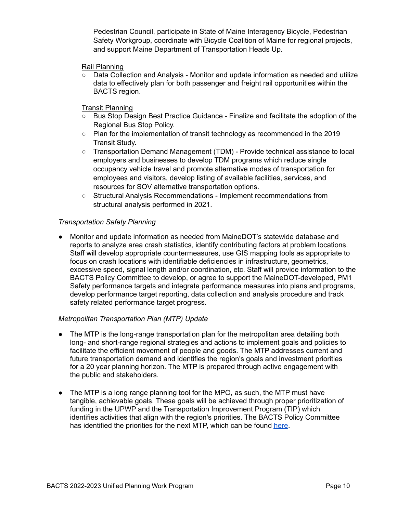Pedestrian Council, participate in State of Maine Interagency Bicycle, Pedestrian Safety Workgroup, coordinate with Bicycle Coalition of Maine for regional projects, and support Maine Department of Transportation Heads Up.

#### Rail Planning

○ Data Collection and Analysis - Monitor and update information as needed and utilize data to effectively plan for both passenger and freight rail opportunities within the BACTS region.

#### Transit Planning

- Bus Stop Design Best Practice Guidance Finalize and facilitate the adoption of the Regional Bus Stop Policy.
- Plan for the implementation of transit technology as recommended in the 2019 Transit Study.
- Transportation Demand Management (TDM) Provide technical assistance to local employers and businesses to develop TDM programs which reduce single occupancy vehicle travel and promote alternative modes of transportation for employees and visitors, develop listing of available facilities, services, and resources for SOV alternative transportation options.
- Structural Analysis Recommendations Implement recommendations from structural analysis performed in 2021.

#### *Transportation Safety Planning*

● Monitor and update information as needed from MaineDOT's statewide database and reports to analyze area crash statistics, identify contributing factors at problem locations. Staff will develop appropriate countermeasures, use GIS mapping tools as appropriate to focus on crash locations with identifiable deficiencies in infrastructure, geometrics, excessive speed, signal length and/or coordination, etc. Staff will provide information to the BACTS Policy Committee to develop, or agree to support the MaineDOT-developed, PM1 Safety performance targets and integrate performance measures into plans and programs, develop performance target reporting, data collection and analysis procedure and track safety related performance target progress.

#### *Metropolitan Transportation Plan (MTP) Update*

- The MTP is the long-range transportation plan for the metropolitan area detailing both long- and short-range regional strategies and actions to implement goals and policies to facilitate the efficient movement of people and goods. The MTP addresses current and future transportation demand and identifies the region's goals and investment priorities for a 20 year planning horizon. The MTP is prepared through active engagement with the public and stakeholders.
- The MTP is a long range planning tool for the MPO, as such, the MTP must have tangible, achievable goals. These goals will be achieved through proper prioritization of funding in the UPWP and the Transportation Improvement Program (TIP) which identifies activities that align with the region's priorities. The BACTS Policy Committee has identified the priorities for the next MTP, which can be found [here](https://bactsmpo.org/wp-content/uploads/2021/09/Metropolitan-Transportation-Plan-Priority-Recommendations-Report-1.pdf).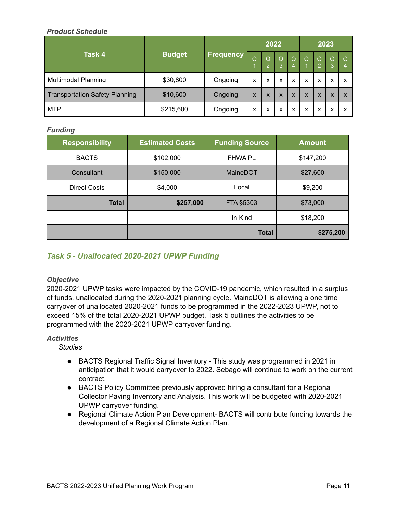#### <span id="page-12-0"></span>*Product Schedule*

|                                       | <b>Budget</b><br><u>Frequency</u> | 2022    |   |        |        | 2023   |     |                           |                           |   |
|---------------------------------------|-----------------------------------|---------|---|--------|--------|--------|-----|---------------------------|---------------------------|---|
| Task 4                                |                                   |         | Q | Q<br>0 | Q<br>3 | Q<br>4 | TQ. | Q<br>റ                    | Q<br>3                    | Q |
| <b>Multimodal Planning</b>            | \$30,800                          | Ongoing | x | x      | X      | X      | X   | X                         | X                         | ́ |
| <b>Transportation Safety Planning</b> | \$10,600                          | Ongoing | X | X      | X      | X      | X   | $\boldsymbol{\mathsf{x}}$ | $\checkmark$<br>$\lambda$ |   |
| <b>MTP</b>                            | \$215,600                         | Ongoing | x | x      | x      | X      | X   | X                         | х                         |   |

#### <span id="page-12-1"></span>*Funding*

| <b>Responsibility</b> | <b>Estimated Costs</b> | <b>Funding Source</b> | <b>Amount</b> |
|-----------------------|------------------------|-----------------------|---------------|
| <b>BACTS</b>          | \$102,000              | <b>FHWA PL</b>        | \$147,200     |
| Consultant            | \$150,000              | <b>MaineDOT</b>       | \$27,600      |
| <b>Direct Costs</b>   | \$4,000                | Local                 | \$9,200       |
| <b>Total</b>          | \$257,000              | FTA §5303             | \$73,000      |
|                       |                        | In Kind               | \$18,200      |
|                       |                        | <b>Total</b>          | \$275,200     |

## <span id="page-12-2"></span>*Task 5 - Unallocated 2020-2021 UPWP Funding*

#### <span id="page-12-3"></span>*Objective*

2020-2021 UPWP tasks were impacted by the COVID-19 pandemic, which resulted in a surplus of funds, unallocated during the 2020-2021 planning cycle. MaineDOT is allowing a one time carryover of unallocated 2020-2021 funds to be programmed in the 2022-2023 UPWP, not to exceed 15% of the total 2020-2021 UPWP budget. Task 5 outlines the activities to be programmed with the 2020-2021 UPWP carryover funding.

#### <span id="page-12-4"></span>*Activities*

*Studies*

- BACTS Regional Traffic Signal Inventory This study was programmed in 2021 in anticipation that it would carryover to 2022. Sebago will continue to work on the current contract.
- BACTS Policy Committee previously approved hiring a consultant for a Regional Collector Paving Inventory and Analysis. This work will be budgeted with 2020-2021 UPWP carryover funding.
- Regional Climate Action Plan Development- BACTS will contribute funding towards the development of a Regional Climate Action Plan.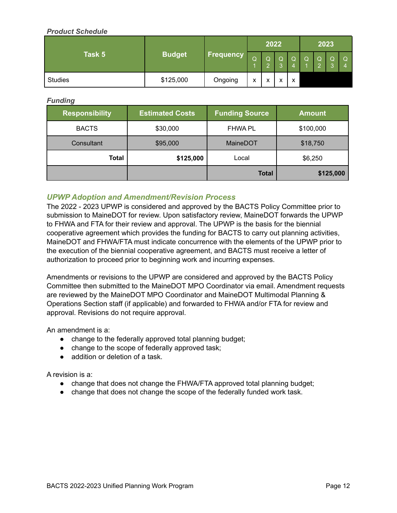#### <span id="page-13-0"></span>*Product Schedule*

|                |               |                  | 2022              |                   |                   |          | 2023 |  |  |  |
|----------------|---------------|------------------|-------------------|-------------------|-------------------|----------|------|--|--|--|
| Task 5         | <b>Budget</b> | <b>Frequency</b> | Q                 | Q                 | $\Omega$          | $\Omega$ | IQ.  |  |  |  |
| <b>Studies</b> | \$125,000     | Ongoing          | $\checkmark$<br>́ | $\checkmark$<br>⋏ | $\checkmark$<br>⋏ | X        |      |  |  |  |

<span id="page-13-1"></span>*Funding*

| <b>Responsibility</b> | <b>Estimated Costs</b> | <b>Funding Source</b> | <b>Amount</b> |  |
|-----------------------|------------------------|-----------------------|---------------|--|
| <b>BACTS</b>          | \$30,000               | <b>FHWA PL</b>        | \$100,000     |  |
| Consultant            | \$95,000               | <b>MaineDOT</b>       | \$18,750      |  |
| Total<br>\$125,000    |                        | Local                 | \$6,250       |  |
|                       |                        |                       | \$125,000     |  |

#### <span id="page-13-2"></span>*UPWP Adoption and Amendment/Revision Process*

The 2022 - 2023 UPWP is considered and approved by the BACTS Policy Committee prior to submission to MaineDOT for review. Upon satisfactory review, MaineDOT forwards the UPWP to FHWA and FTA for their review and approval. The UPWP is the basis for the biennial cooperative agreement which provides the funding for BACTS to carry out planning activities, MaineDOT and FHWA/FTA must indicate concurrence with the elements of the UPWP prior to the execution of the biennial cooperative agreement, and BACTS must receive a letter of authorization to proceed prior to beginning work and incurring expenses.

Amendments or revisions to the UPWP are considered and approved by the BACTS Policy Committee then submitted to the MaineDOT MPO Coordinator via email. Amendment requests are reviewed by the MaineDOT MPO Coordinator and MaineDOT Multimodal Planning & Operations Section staff (if applicable) and forwarded to FHWA and/or FTA for review and approval. Revisions do not require approval.

An amendment is a:

- change to the federally approved total planning budget;
- change to the scope of federally approved task;
- addition or deletion of a task.

A revision is a:

- change that does not change the FHWA/FTA approved total planning budget;
- change that does not change the scope of the federally funded work task.